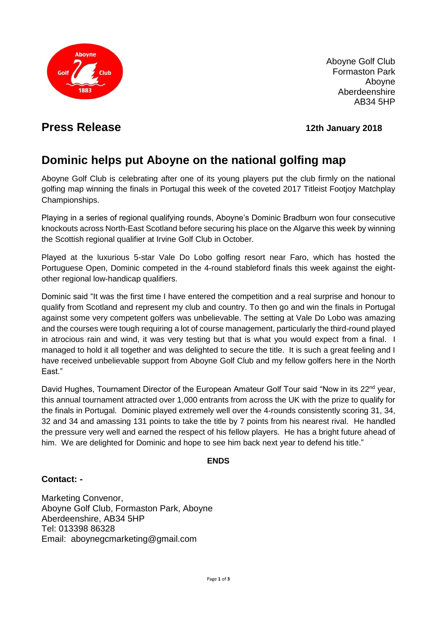

Aboyne Golf Club Formaston Park Aboyne Aberdeenshire AB34 5HP

## **Press Release 12th January 2018**

# **Dominic helps put Aboyne on the national golfing map**

Aboyne Golf Club is celebrating after one of its young players put the club firmly on the national golfing map winning the finals in Portugal this week of the coveted 2017 Titleist Footjoy Matchplay Championships.

Playing in a series of regional qualifying rounds, Aboyne's Dominic Bradburn won four consecutive knockouts across North-East Scotland before securing his place on the Algarve this week by winning the Scottish regional qualifier at Irvine Golf Club in October.

Played at the luxurious 5-star Vale Do Lobo golfing resort near Faro, which has hosted the Portuguese Open, Dominic competed in the 4-round stableford finals this week against the eightother regional low-handicap qualifiers.

Dominic said "It was the first time I have entered the competition and a real surprise and honour to qualify from Scotland and represent my club and country. To then go and win the finals in Portugal against some very competent golfers was unbelievable. The setting at Vale Do Lobo was amazing and the courses were tough requiring a lot of course management, particularly the third-round played in atrocious rain and wind, it was very testing but that is what you would expect from a final. I managed to hold it all together and was delighted to secure the title. It is such a great feeling and I have received unbelievable support from Aboyne Golf Club and my fellow golfers here in the North Fast."

David Hughes, Tournament Director of the European Amateur Golf Tour said "Now in its 22<sup>nd</sup> year, this annual tournament attracted over 1,000 entrants from across the UK with the prize to qualify for the finals in Portugal. Dominic played extremely well over the 4-rounds consistently scoring 31, 34, 32 and 34 and amassing 131 points to take the title by 7 points from his nearest rival. He handled the pressure very well and earned the respect of his fellow players. He has a bright future ahead of him. We are delighted for Dominic and hope to see him back next year to defend his title."

#### **ENDS**

### **Contact: -**

Marketing Convenor, Aboyne Golf Club, Formaston Park, Aboyne Aberdeenshire, AB34 5HP Tel: 013398 86328 Email: aboynegcmarketing@gmail.com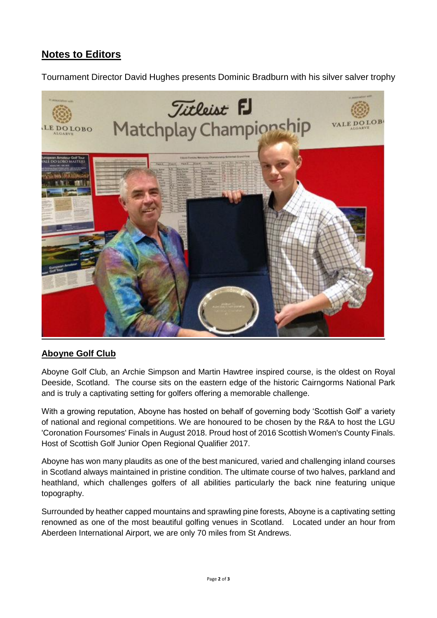## **Notes to Editors**

Tournament Director David Hughes presents Dominic Bradburn with his silver salver trophy



#### **Aboyne Golf Club**

Aboyne Golf Club, an Archie Simpson and Martin Hawtree inspired course, is the oldest on Royal Deeside, Scotland. The course sits on the eastern edge of the historic Cairngorms National Park and is truly a captivating setting for golfers offering a memorable challenge.

With a growing reputation, Aboyne has hosted on behalf of governing body 'Scottish Golf' a variety of national and regional competitions. We are honoured to be chosen by the R&A to host the LGU 'Coronation Foursomes' Finals in August 2018. Proud host of 2016 Scottish Women's County Finals. Host of Scottish Golf Junior Open Regional Qualifier 2017.

Aboyne has won many plaudits as one of the best manicured, varied and challenging inland courses in Scotland always maintained in pristine condition. The ultimate course of two halves, parkland and heathland, which challenges golfers of all abilities particularly the back nine featuring unique topography.

Surrounded by heather capped mountains and sprawling pine forests, Aboyne is a captivating setting renowned as one of the most beautiful golfing venues in Scotland. Located under an hour from Aberdeen International Airport, we are only 70 miles from St Andrews.